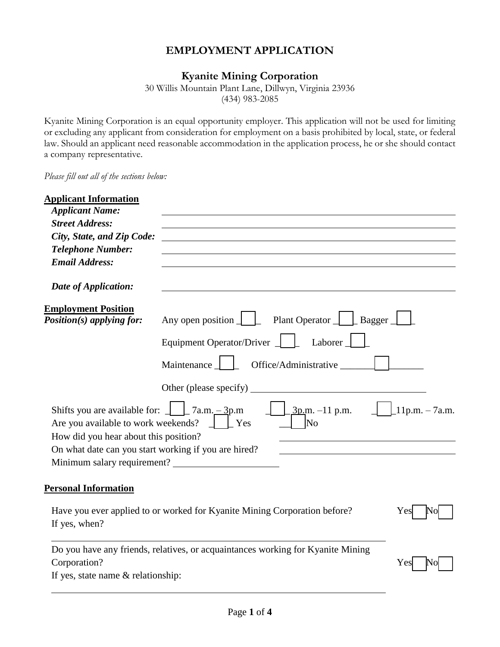# **EMPLOYMENT APPLICATION**

# **Kyanite Mining Corporation**

30 Willis Mountain Plant Lane, Dillwyn, Virginia 23936 (434) 983-2085

Kyanite Mining Corporation is an equal opportunity employer. This application will not be used for limiting or excluding any applicant from consideration for employment on a basis prohibited by local, state, or federal law. Should an applicant need reasonable accommodation in the application process, he or she should contact a company representative.

*Please fill out all of the sections below:* 

| <b>Applicant Information</b><br><b>Applicant Name:</b><br><b>Street Address:</b><br>City, State, and Zip Code:<br><b>Telephone Number:</b><br><b>Email Address:</b>                                                                     |                                                                                                                                              |                                  |
|-----------------------------------------------------------------------------------------------------------------------------------------------------------------------------------------------------------------------------------------|----------------------------------------------------------------------------------------------------------------------------------------------|----------------------------------|
| Date of Application:                                                                                                                                                                                                                    |                                                                                                                                              |                                  |
| <b>Employment Position</b><br>Position(s) applying for:                                                                                                                                                                                 | Plant Operator   Bagger<br>Any open position $\Box$<br>Equipment Operator/Driver $\Box$<br>Laborer<br>Office/Administrative<br>Maintenance _ |                                  |
|                                                                                                                                                                                                                                         |                                                                                                                                              |                                  |
| Shifts you are available for: $\frac{1}{2}$ $\frac{2}{3}$ 7a.m. $\frac{3}{2}$ 7a.m.<br>Are you available to work weekends? $\Box$ [Yes<br>How did you hear about this position?<br>On what date can you start working if you are hired? | $\frac{3p}{m}$ . -11 p.m.<br>No                                                                                                              | $\lfloor 11p.m. - 7a.m. \rfloor$ |
| <b>Personal Information</b>                                                                                                                                                                                                             |                                                                                                                                              |                                  |
| If yes, when?                                                                                                                                                                                                                           | Have you ever applied to or worked for Kyanite Mining Corporation before?                                                                    | Yes                              |
| Corporation?<br>If yes, state name $&$ relationship:                                                                                                                                                                                    | Do you have any friends, relatives, or acquaintances working for Kyanite Mining                                                              | Yes                              |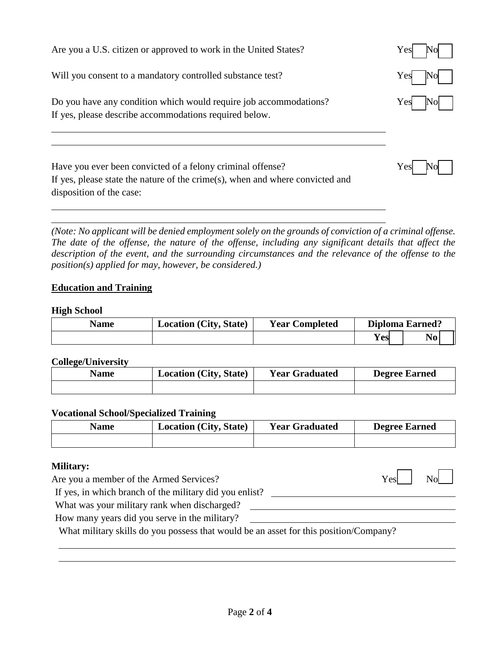| Are you a U.S. citizen or approved to work in the United States?                                                                                                        | $\rm Yes$ |
|-------------------------------------------------------------------------------------------------------------------------------------------------------------------------|-----------|
| Will you consent to a mandatory controlled substance test?                                                                                                              | Yes       |
| Do you have any condition which would require job accommodations?<br>If yes, please describe accommodations required below.                                             | Yes       |
| Have you ever been convicted of a felony criminal offense?<br>If yes, please state the nature of the crime(s), when and where convicted and<br>disposition of the case: | Yes       |

*(Note: No applicant will be denied employment solely on the grounds of conviction of a criminal offense. The date of the offense, the nature of the offense, including any significant details that affect the*  description of the event, and the surrounding circumstances and the relevance of the offense to the *position(s) applied for may, however, be considered.)* 

# **Education and Training**

#### **High School**

| <b>Name</b> | <b>Location (City, State)</b> | <b>Year Completed</b> |     | <b>Diploma Earned?</b> |  |
|-------------|-------------------------------|-----------------------|-----|------------------------|--|
|             |                               |                       | Yes | $\bf No$               |  |

#### **College/University**

| <b>Name</b> | <b>Location (City, State)</b> | <b>Year Graduated</b> | <b>Degree Earned</b> |
|-------------|-------------------------------|-----------------------|----------------------|
|             |                               |                       |                      |

#### **Vocational School/Specialized Training**

| <b>Name</b> | <b>Location (City, State)</b> | <b>Year Graduated</b> | <b>Degree Earned</b> |
|-------------|-------------------------------|-----------------------|----------------------|
|             |                               |                       |                      |

<u> 1989 - Johann Stoff, deutscher Stoffen und der Stoffen und der Stoffen und der Stoffen und der Stoffen und d</u>

#### **Military:**

Are you a member of the Armed Services? Yes No

If yes, in which branch of the military did you enlist?

What was your military rank when discharged?

How many years did you serve in the military?

What military skills do you possess that would be an asset for this position/Company?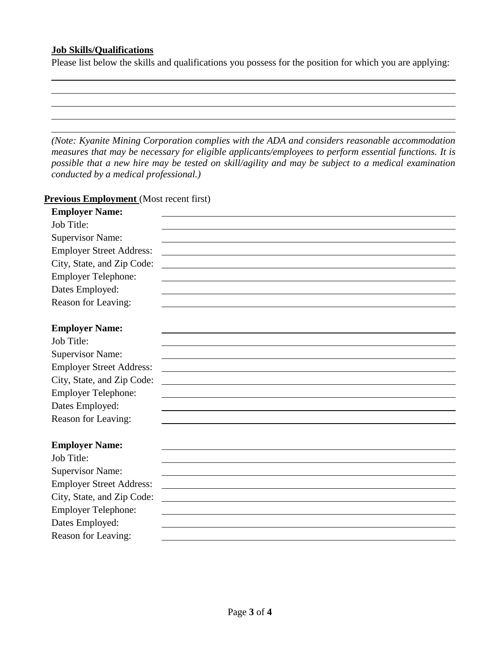## **Job Skills/Qualifications**

Please list below the skills and qualifications you possess for the position for which you are applying:

*(Note: Kyanite Mining Corporation complies with the ADA and considers reasonable accommodation measures that may be necessary for eligible applicants/employees to perform essential functions. It is possible that a new hire may be tested on skill/agility and may be subject to a medical examination conducted by a medical professional.)* 

#### **Previous Employment** (Most recent first)

| <b>Employer Name:</b>           |  |
|---------------------------------|--|
| Job Title:                      |  |
| <b>Supervisor Name:</b>         |  |
| <b>Employer Street Address:</b> |  |
| City, State, and Zip Code:      |  |
| <b>Employer Telephone:</b>      |  |
| Dates Employed:                 |  |
| Reason for Leaving:             |  |
|                                 |  |
| <b>Employer Name:</b>           |  |
| Job Title:                      |  |
| <b>Supervisor Name:</b>         |  |
| <b>Employer Street Address:</b> |  |
| City, State, and Zip Code:      |  |
| <b>Employer Telephone:</b>      |  |
| Dates Employed:                 |  |
| Reason for Leaving:             |  |
|                                 |  |
| <b>Employer Name:</b>           |  |
| Job Title:                      |  |
| <b>Supervisor Name:</b>         |  |
| <b>Employer Street Address:</b> |  |
| City, State, and Zip Code:      |  |
| <b>Employer Telephone:</b>      |  |
| Dates Employed:                 |  |
| Reason for Leaving:             |  |
|                                 |  |